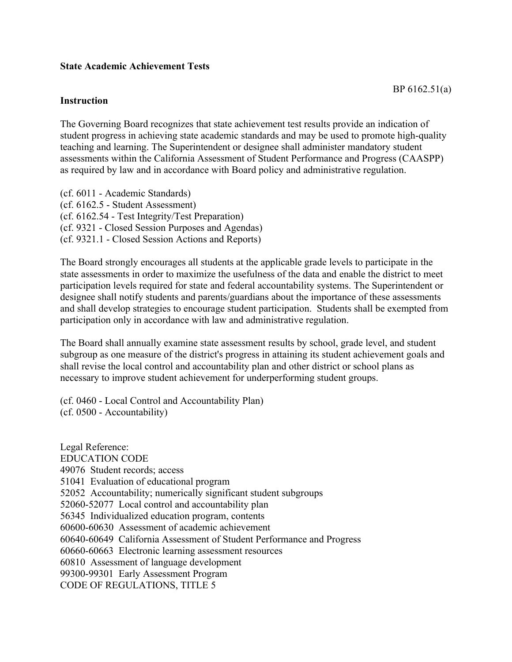## **State Academic Achievement Tests**

## **Instruction**

The Governing Board recognizes that state achievement test results provide an indication of student progress in achieving state academic standards and may be used to promote high-quality teaching and learning. The Superintendent or designee shall administer mandatory student assessments within the California Assessment of Student Performance and Progress (CAASPP) as required by law and in accordance with Board policy and administrative regulation.

(cf. 6011 - Academic Standards) (cf. 6162.5 - Student Assessment) (cf. 6162.54 - Test Integrity/Test Preparation) (cf. 9321 - Closed Session Purposes and Agendas) (cf. 9321.1 - Closed Session Actions and Reports)

The Board strongly encourages all students at the applicable grade levels to participate in the state assessments in order to maximize the usefulness of the data and enable the district to meet participation levels required for state and federal accountability systems. The Superintendent or designee shall notify students and parents/guardians about the importance of these assessments and shall develop strategies to encourage student participation. Students shall be exempted from participation only in accordance with law and administrative regulation.

The Board shall annually examine state assessment results by school, grade level, and student subgroup as one measure of the district's progress in attaining its student achievement goals and shall revise the local control and accountability plan and other district or school plans as necessary to improve student achievement for underperforming student groups.

(cf. 0460 - Local Control and Accountability Plan) (cf. 0500 - Accountability)

Legal Reference: EDUCATION CODE 49076 Student records; access 51041 Evaluation of educational program 52052 Accountability; numerically significant student subgroups 52060-52077 Local control and accountability plan 56345 Individualized education program, contents 60600-60630 Assessment of academic achievement 60640-60649 California Assessment of Student Performance and Progress 60660-60663 Electronic learning assessment resources 60810 Assessment of language development 99300-99301 Early Assessment Program CODE OF REGULATIONS, TITLE 5